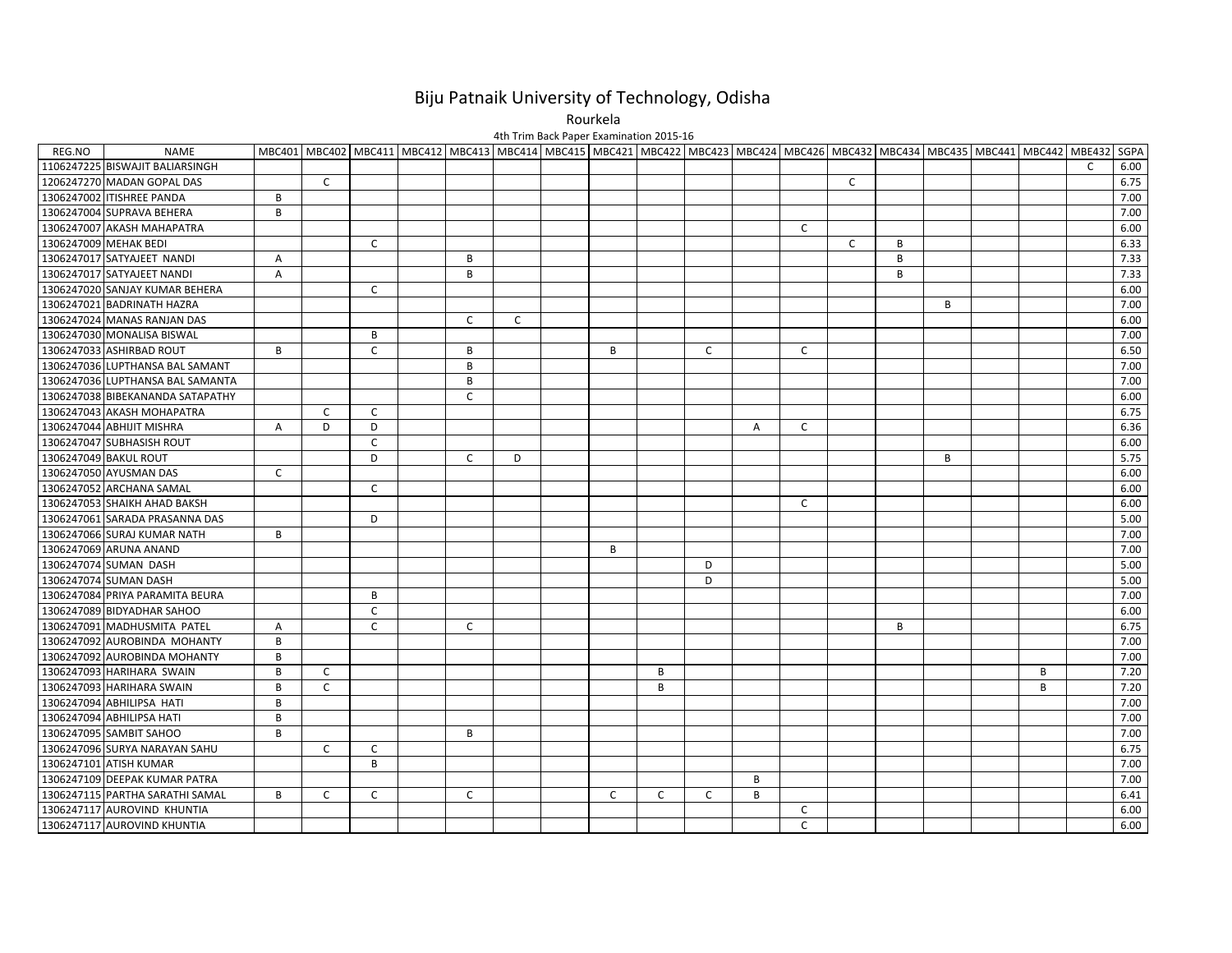## Biju Patnaik University of Technology, Odisha

Rourkela

REG.NO NAME MBC401 MBC402 MBC411 MBC412 MBC413 MBC414 MBC415 MBC421 MBC422 MBC423 MBC424 MBC424 MBC426 MBC432 MBC432 MBC435 MBC441 MBC442 MBE432 SGPA 1106247225 BISWAJIT BALIARSINGH C 6.00 1206247270 MADAN GOPAL DAS C C 6.75 1306247002 ITISHREE PANDA B 7.00 1306247004 SUPRAVA BEHERA B 7.00 1306247007 AKASH MAHAPATRA C 6.00 1306247009 MEHAK BEDI C C B 6.33 1306247017 SATYAJEET NANDI A B B 7.33 1306247017 SATYAJEET NANDI A B B 7.33 1306247020 SANJAY KUMAR BEHERA C 6.00 1306247021 BADRINATH HAZRA B 7.00 1306247024 MANAS RANJAN DAS C C 6.00 1306247030 MONALISA BISWAL B 7.00 1306247033 ASHIRBADDROUT BICIBINIBING I CILIBINID AND DROUT I BICIDID ASSO 1306247036 LUPTHANSA BAL SAMANT B 7.00 1306247036 LUPTHANSA BAL SAMANTA B 7.00 1306247038 BIBEKANANDA SATAPATHY C 6.00 1306247043 AKASH MOHAPATRA C C 6.75 1306247044 ABHIJIT MISHRA A D D A C 6.36 1306247047 SUBHASISH ROUT C 6.00 1306247049 BAKUL ROUTT IIIDI CID D | | | | | | | | | | B | | | | | 5.75 1306247050 AYUSMAN DAS C 6.00 1306247052 ARCHANA SAMAL C 6.00 1306247053 SHAIKH AHAD BAKSH AHAD BAKSH C 6.00 1306247061 SARADA PRASANNA DAS D 5.00 1306247066 SURAJ KUMAR NATH B 7.00 1306247069 ARUNA ANAND B 7.00 1306247074 SUMAN DASH D 5.00 1306247074 SUMAN DASH D 5.00 1306247084 PRIYA PARAMITA BEURA B 7.00 1306247089 BIDYADHAR SAHOO C 6.00 1306247091 MADHUSMITA PATEL ACC B 6.75 1306247092 AUROBINDA MOHANTY B 7.00 1306247092 AUROBINDA MOHANTY B 7.00 1306247093 HARIHARA SWAIN B C B B 7.20 1306247093 HARIHARA SWAIN B C B B 7.20 1306247094 ABHILIPSA HATI B 7.00 1306247094 ABHILIPSA HATI B 7.00 1306247095 SAMBIT SAHOO B B 7.00 1306247096 SURYA NARAYAN SAHU C C 6.75 1306247101 ATISH KUMAR B 7.00 1306247109 DEEPAK KUMAR PATRA B 7.00 1306247115 PARTHAA SARATHI SAMAL BICICI I CICICICI CICCIBI I III III I 16.41 1306247117 AUROVIND KHUNTIA C 6.00 4th Trim Back Paper Examination 2015‐16

KHUNTIA C 6.00

1306247117 AUROVIND